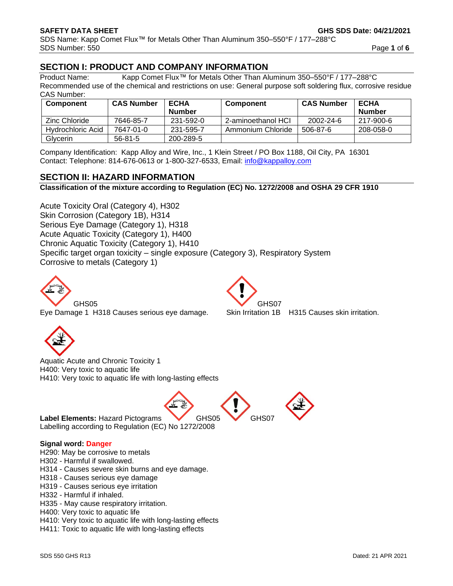## **SECTION I: PRODUCT AND COMPANY INFORMATION**

Product Name: Kapp Comet Flux™ for Metals Other Than Aluminum 350–550°F / 177–288°C Recommended use of the chemical and restrictions on use: General purpose soft soldering flux, corrosive residue CAS Number:

| <b>Component</b>  | <b>CAS Number</b> | <b>ECHA</b>   | <b>Component</b>   | <b>CAS Number</b> | <b>ECHA</b> |
|-------------------|-------------------|---------------|--------------------|-------------------|-------------|
|                   |                   | <b>Number</b> |                    |                   | Number      |
| Zinc Chloride     | 7646-85-7         | 231-592-0     | 2-aminoethanol HCI | 2002-24-6         | 217-900-6   |
| Hydrochloric Acid | 7647-01-0         | 231-595-7     | Ammonium Chloride  | 506-87-6          | 208-058-0   |
| Glycerin          | $56 - 81 - 5$     | 200-289-5     |                    |                   |             |

Company Identification: Kapp Alloy and Wire, Inc., 1 Klein Street / PO Box 1188, Oil City, PA 16301 Contact: Telephone: 814-676-0613 or 1-800-327-6533, Email: [info@kappalloy.com](mailto:info@kappalloy.com)

## **SECTION II: HAZARD INFORMATION**

**Classification of the mixture according to Regulation (EC) No. 1272/2008 and OSHA 29 CFR 1910**

Acute Toxicity Oral (Category 4), H302 Skin Corrosion (Category 1B), H314 Serious Eye Damage (Category 1), H318 Acute Aquatic Toxicity (Category 1), H400 Chronic Aquatic Toxicity (Category 1), H410 Specific target organ toxicity – single exposure (Category 3), Respiratory System Corrosive to metals (Category 1)



Eye Damage 1 H318 Causes serious eye damage. Skin Irritation 1B H315 Causes skin irritation.



H400: Very toxic to aquatic life H410: Very toxic to aquatic life with long-lasting effects

Label Elements: Hazard Pictograms **GHS05** GHS07 Labelling according to Regulation (EC) No 1272/2008

### **Signal word: Danger**

H290: May be corrosive to metals

H302 - Harmful if swallowed.

H314 - Causes severe skin burns and eye damage.

H318 - Causes serious eye damage

H319 - Causes serious eye irritation

- H332 Harmful if inhaled.
- H335 May cause respiratory irritation.

H400: Very toxic to aquatic life

H410: Very toxic to aquatic life with long-lasting effects

H411: Toxic to aquatic life with long-lasting effects



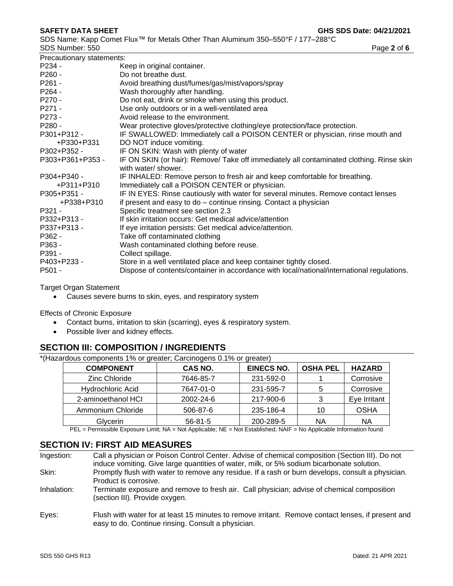SDS Name: Kapp Comet Flux™ for Metals Other Than Aluminum 350–550°F / 177–288°C SDS Number: 550 **Page 2** of **6** 

| Precautionary statements: |                                                                                                                 |
|---------------------------|-----------------------------------------------------------------------------------------------------------------|
| P234 -                    | Keep in original container.                                                                                     |
| P260 -                    | Do not breathe dust.                                                                                            |
| P261 -                    | Avoid breathing dust/fumes/gas/mist/vapors/spray                                                                |
| P264 -                    | Wash thoroughly after handling.                                                                                 |
| P270 -                    | Do not eat, drink or smoke when using this product.                                                             |
| P271 -                    | Use only outdoors or in a well-ventilated area                                                                  |
| P273 -                    | Avoid release to the environment.                                                                               |
| P280 -                    | Wear protective gloves/protective clothing/eye protection/face protection.                                      |
| P301+P312 -               | IF SWALLOWED: Immediately call a POISON CENTER or physician, rinse mouth and                                    |
| +P330+P331                | DO NOT induce vomiting.                                                                                         |
| P302+P352 -               | IF ON SKIN: Wash with plenty of water                                                                           |
| P303+P361+P353 -          | IF ON SKIN (or hair): Remove/ Take off immediately all contaminated clothing. Rinse skin<br>with water/ shower. |
| P304+P340 -               | IF INHALED: Remove person to fresh air and keep comfortable for breathing.                                      |
| +P311+P310                | Immediately call a POISON CENTER or physician.                                                                  |
| P305+P351 -               | IF IN EYES: Rinse cautiously with water for several minutes. Remove contact lenses                              |
| +P338+P310                | if present and easy to do – continue rinsing. Contact a physician                                               |
| P321 -                    | Specific treatment see section 2.3                                                                              |
| P332+P313 -               | If skin irritation occurs: Get medical advice/attention                                                         |
| P337+P313 -               | If eye irritation persists: Get medical advice/attention.                                                       |
| P362 -                    | Take off contaminated clothing                                                                                  |
| P363 -                    | Wash contaminated clothing before reuse.                                                                        |
| P391 -                    | Collect spillage.                                                                                               |
| P403+P233 -               | Store in a well ventilated place and keep container tightly closed.                                             |
| P501 -                    | Dispose of contents/container in accordance with local/national/international regulations.                      |

Target Organ Statement

• Causes severe burns to skin, eyes, and respiratory system

Effects of Chronic Exposure

- Contact burns, irritation to skin (scarring), eyes & respiratory system.
- Possible liver and kidney effects.

## **SECTION III: COMPOSITION / INGREDIENTS**

\*(Hazardous components 1% or greater; Carcinogens 0.1% or greater)

| <b>COMPONENT</b>         | CAS NO.       | <b>EINECS NO.</b> | <b>OSHA PEL</b> | <b>HAZARD</b> |
|--------------------------|---------------|-------------------|-----------------|---------------|
| Zinc Chloride            | 7646-85-7     | 231-592-0         |                 | Corrosive     |
| <b>Hydrochloric Acid</b> | 7647-01-0     | 231-595-7         |                 | Corrosive     |
| 2-aminoethanol HCI       | 2002-24-6     | 217-900-6         |                 | Eye Irritant  |
| Ammonium Chloride        | 506-87-6      | 235-186-4         | 10              | <b>OSHA</b>   |
| Glycerin                 | $56 - 81 - 5$ | 200-289-5         | ΝA              | ΝA            |

PEL = Permissible Exposure Limit; NA = Not Applicable; NE = Not Established; NAIF = No Applicable Information found

## **SECTION IV: FIRST AID MEASURES**

| Ingestion:  | Call a physician or Poison Control Center. Advise of chemical composition (Section III). Do not<br>induce vomiting. Give large quantities of water, milk, or 5% sodium bicarbonate solution. |
|-------------|----------------------------------------------------------------------------------------------------------------------------------------------------------------------------------------------|
| Skin:       | Promptly flush with water to remove any residue. If a rash or burn develops, consult a physician.<br>Product is corrosive.                                                                   |
| Inhalation: | Terminate exposure and remove to fresh air. Call physician; advise of chemical composition<br>(section III). Provide oxygen.                                                                 |
| Eves:       | Flush with water for at least 15 minutes to remove irritant. Remove contact lenses, if present and<br>easy to do. Continue rinsing. Consult a physician.                                     |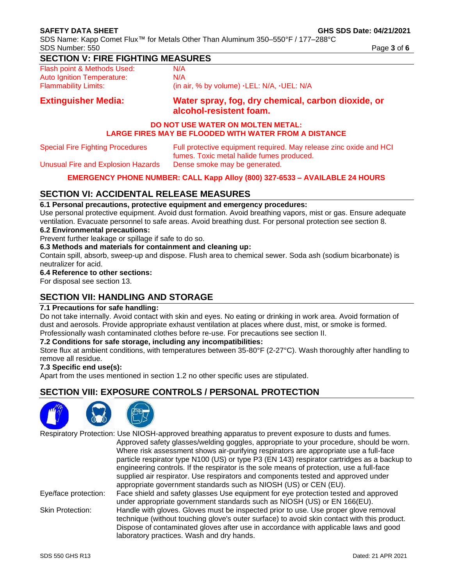SDS Name: Kapp Comet Flux™ for Metals Other Than Aluminum 350–550°F / 177–288°C SDS Number: 550 **Page 3** of **6 Page 3** of **6 Page 3** of **6** 

## **SECTION V: FIRE FIGHTING MEASURES**

Flash point & Methods Used: N/A Auto Ignition Temperature: N/A Flammability Limits: (in air, % by volume) **·**LEL: N/A, **·**UEL: N/A

## **Extinguisher Media: Water spray, fog, dry chemical, carbon dioxide, or alcohol-resistent foam.**

### **DO NOT USE WATER ON MOLTEN METAL: LARGE FIRES MAY BE FLOODED WITH WATER FROM A DISTANCE**

| <b>Special Fire Fighting Procedures</b> | Full protective equipment required. May release zinc oxide and HCI |
|-----------------------------------------|--------------------------------------------------------------------|
|                                         | fumes. Toxic metal halide fumes produced.                          |
| Unusual Fire and Explosion Hazards      | Dense smoke may be generated.                                      |

### **EMERGENCY PHONE NUMBER: CALL Kapp Alloy (800) 327-6533 – AVAILABLE 24 HOURS**

## **SECTION VI: ACCIDENTAL RELEASE MEASURES**

### **6.1 Personal precautions, protective equipment and emergency procedures:**

Use personal protective equipment. Avoid dust formation. Avoid breathing vapors, mist or gas. Ensure adequate ventilation. Evacuate personnel to safe areas. Avoid breathing dust. For personal protection see section 8.

### **6.2 Environmental precautions:**

Prevent further leakage or spillage if safe to do so.

### **6.3 Methods and materials for containment and cleaning up:**

Contain spill, absorb, sweep-up and dispose. Flush area to chemical sewer. Soda ash (sodium bicarbonate) is neutralizer for acid.

## **6.4 Reference to other sections:**

For disposal see section 13.

## **SECTION VII: HANDLING AND STORAGE**

### **7.1 Precautions for safe handling:**

Do not take internally. Avoid contact with skin and eyes. No eating or drinking in work area. Avoid formation of dust and aerosols. Provide appropriate exhaust ventilation at places where dust, mist, or smoke is formed. Professionally wash contaminated clothes before re-use. For precautions see section II.

### **7.2 Conditions for safe storage, including any incompatibilities:**

Store flux at ambient conditions, with temperatures between 35-80°F (2-27°C). Wash thoroughly after handling to remove all residue.

### **7.3 Specific end use(s):**

Apart from the uses mentioned in section 1.2 no other specific uses are stipulated.

## **SECTION VIII: EXPOSURE CONTROLS / PERSONAL PROTECTION**



Respiratory Protection: Use NIOSH-approved breathing apparatus to prevent exposure to dusts and fumes. Approved safety glasses/welding goggles, appropriate to your procedure, should be worn. Where risk assessment shows air-purifying respirators are appropriate use a full-face particle respirator type N100 (US) or type P3 (EN 143) respirator cartridges as a backup to engineering controls. If the respirator is the sole means of protection, use a full-face supplied air respirator. Use respirators and components tested and approved under appropriate government standards such as NIOSH (US) or CEN (EU). Eye/face protection: Face shield and safety glasses Use equipment for eye protection tested and approved

under appropriate government standards such as NIOSH (US) or EN 166(EU). Skin Protection: Handle with gloves. Gloves must be inspected prior to use. Use proper glove removal technique (without touching glove's outer surface) to avoid skin contact with this product. Dispose of contaminated gloves after use in accordance with applicable laws and good laboratory practices. Wash and dry hands.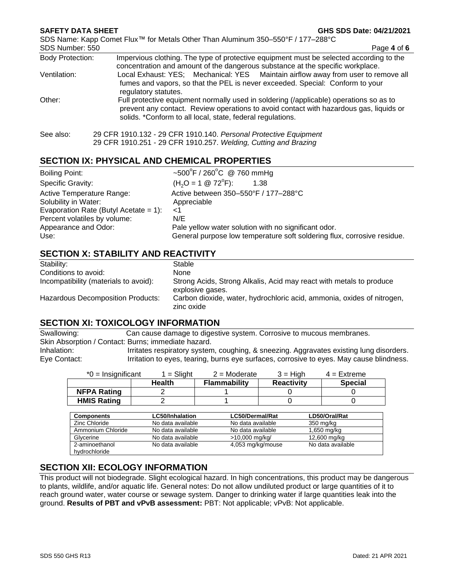#### **SAFETY DATA SHEET GHS SDS Date: 04/21/2021**

SDS Name: Kapp Comet Flux™ for Metals Other Than Aluminum 350–550°F / 177–288°C

SDS Number: 550 **Page 4** of **6** Body Protection: Impervious clothing. The type of protective equipment must be selected according to the concentration and amount of the dangerous substance at the specific workplace. Ventilation: Local Exhaust: YES; Mechanical: YES Maintain airflow away from user to remove all fumes and vapors, so that the PEL is never exceeded. Special: Conform to your regulatory statutes. Other: Full protective equipment normally used in soldering (/applicable) operations so as to prevent any contact. Review operations to avoid contact with hazardous gas, liquids or solids. \*Conform to all local, state, federal regulations. See also: 29 CFR 1910.132 - 29 CFR 1910.140. *Personal Protective Equipment* 29 CFR 1910.251 - 29 CFR 1910.257. *Welding, Cutting and Brazing*

## **SECTION IX: PHYSICAL AND CHEMICAL PROPERTIES**

| <b>Boiling Point:</b>                                                                                                                                      | ~500°F / 260°C @ 760 mmHg                                                                                                                                                                           |
|------------------------------------------------------------------------------------------------------------------------------------------------------------|-----------------------------------------------------------------------------------------------------------------------------------------------------------------------------------------------------|
| Specific Gravity:                                                                                                                                          | $(H2O = 1 \otimes 72^{\circ}F)$ :<br>1.38                                                                                                                                                           |
| Active Temperature Range:<br>Solubility in Water:<br>Evaporation Rate (Butyl Acetate = 1):<br>Percent volatiles by volume:<br>Appearance and Odor:<br>Use: | Active between 350-550°F / 177-288°C<br>Appreciable<br>ا><br>N/E<br>Pale yellow water solution with no significant odor.<br>General purpose low temperature soft soldering flux, corrosive residue. |

## **SECTION X: STABILITY AND REACTIVITY**

| Stability:                            | Stable                                                                                  |
|---------------------------------------|-----------------------------------------------------------------------------------------|
| Conditions to avoid:                  | None                                                                                    |
| Incompatibility (materials to avoid): | Strong Acids, Strong Alkalis, Acid may react with metals to produce<br>explosive gases. |
| Hazardous Decomposition Products:     | Carbon dioxide, water, hydrochloric acid, ammonia, oxides of nitrogen,<br>zinc oxide    |

## **SECTION XI: TOXICOLOGY INFORMATION**

Swallowing: Can cause damage to digestive system. Corrosive to mucous membranes. Skin Absorption / Contact: Burns; immediate hazard. Inhalation: Irritates respiratory system, coughing, & sneezing. Aggravates existing lung disorders. Eye Contact: Irritation to eyes, tearing, burns eye surfaces, corrosive to eyes. May cause blindness.

| $*0$ = Insignificant | $=$ Slight             | $2 =$ Moderate    | $3 = High$        | $4 =$ Extreme     |
|----------------------|------------------------|-------------------|-------------------|-------------------|
|                      | <b>Health</b>          | Flammability      | <b>Reactivity</b> | <b>Special</b>    |
| <b>NFPA Rating</b>   | 2                      |                   |                   |                   |
| <b>HMIS Rating</b>   | 2                      |                   |                   |                   |
|                      |                        |                   |                   |                   |
| <b>Components</b>    | <b>LC50/Inhalation</b> | LC50/Dermal/Rat   |                   | LD50/Oral/Rat     |
| <b>Zinc Chloride</b> | No data available      | No data available |                   | 350 mg/kg         |
| Ammonium Chloride    | No data available      | No data available |                   | 1,650 mg/kg       |
| Glycerine            | No data available      | >10,000 mg/kg/    |                   | 12,600 mg/kg      |
| 2-aminoethanol       | No data available      | 4,053 mg/kg/mouse |                   | No data available |
| hydrochloride        |                        |                   |                   |                   |

## **SECTION XII: ECOLOGY INFORMATION**

This product will not biodegrade. Slight ecological hazard. In high concentrations, this product may be dangerous to plants, wildlife, and/or aquatic life. General notes: Do not allow undiluted product or large quantities of it to reach ground water, water course or sewage system. Danger to drinking water if large quantities leak into the ground. **Results of PBT and vPvB assessment:** PBT: Not applicable; vPvB: Not applicable.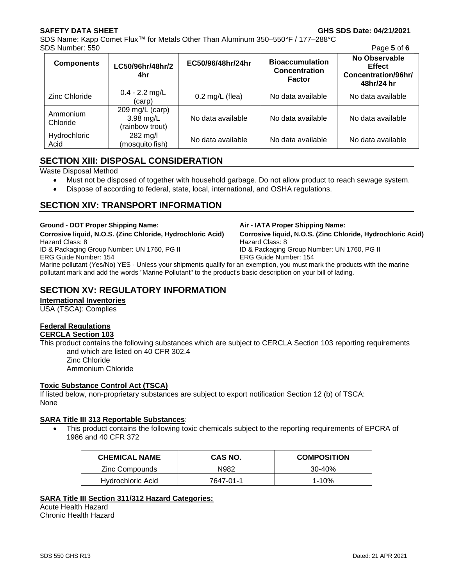SDS Name: Kapp Comet Flux™ for Metals Other Than Aluminum 350–550°F / 177–288°C SDS Number: 550 Page **5** of **6**

| JO INUHIDEL. JJU     |                                                   |                   |                                                                 | <b>Faye J UI U</b>                                                  |
|----------------------|---------------------------------------------------|-------------------|-----------------------------------------------------------------|---------------------------------------------------------------------|
| <b>Components</b>    | LC50/96hr/48hr/2<br>4hr                           | EC50/96/48hr/24hr | <b>Bioaccumulation</b><br><b>Concentration</b><br><b>Factor</b> | No Observable<br><b>Effect</b><br>Concentration/96hr/<br>48hr/24 hr |
| Zinc Chloride        | $0.4 - 2.2$ mg/L<br>(carp)                        | $0.2$ mg/L (flea) | No data available                                               | No data available                                                   |
| Ammonium<br>Chloride | 209 mg/L $(carp)$<br>3.98 mg/L<br>(rainbow trout) | No data available | No data available                                               | No data available                                                   |
| Hydrochloric<br>Acid | $282 \text{ mg/l}$<br>(mosquito fish)             | No data available | No data available                                               | No data available                                                   |

## **SECTION XIII: DISPOSAL CONSIDERATION**

Waste Disposal Method

- Must not be disposed of together with household garbage. Do not allow product to reach sewage system.
- Dispose of according to federal, state, local, international, and OSHA regulations.

## **SECTION XIV: TRANSPORT INFORMATION**

**Ground - DOT Proper Shipping Name: Air - IATA Proper Shipping Name:**

**Corrosive liquid, N.O.S. (Zinc Chloride, Hydrochloric Acid) Corrosive liquid, N.O.S. (Zinc Chloride, Hydrochloric Acid)** Hazard Class: 8 Hazard Class: 8 ID & Packaging Group Number: UN 1760, PG II ID & Packaging Group Number: UN 1760, PG II ERG Guide Number: 154 ERG Guide Number: 154

Marine pollutant (Yes/No) YES - Unless your shipments qualify for an exemption, you must mark the products with the marine pollutant mark and add the words "Marine Pollutant" to the product's basic description on your bill of lading.

## **SECTION XV: REGULATORY INFORMATION**

### **International Inventories**

USA (TSCA): Complies

# **Federal Regulations**

**CERCLA Section 103**

This product contains the following substances which are subject to CERCLA Section 103 reporting requirements and which are listed on 40 CFR 302.4

Zinc Chloride Ammonium Chloride

### **Toxic Substance Control Act (TSCA)**

If listed below, non-proprietary substances are subject to export notification Section 12 (b) of TSCA: None

### **SARA Title III 313 Reportable Substances**:

• This product contains the following toxic chemicals subject to the reporting requirements of EPCRA of 1986 and 40 CFR 372

| <b>CHEMICAL NAME</b> | CAS NO.   | <b>COMPOSITION</b> |
|----------------------|-----------|--------------------|
| Zinc Compounds       | N982      | 30-40%             |
| Hydrochloric Acid    | 7647-01-1 | $1 - 10%$          |

### **SARA Title III Section 311/312 Hazard Categories:**

Acute Health Hazard Chronic Health Hazard